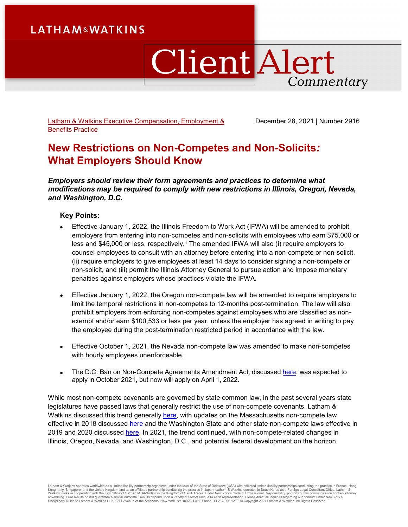# **LATHAM&WATKINS**

# ClientAlert Commentary

[Latham & Watkins Executive Compensation, Employment &](https://www.lw.com/practices/BenefitsCompensationAndEmployment)  [Benefits](https://www.lw.com/practices/BenefitsCompensationAndEmployment) Practice

December 28, 2021 | Number 2916

# **New Restrictions on Non-Competes and Non-Solicits***:*  **What Employers Should Know**

*Employers should review their form agreements and practices to determine what modifications may be required to comply with new restrictions in Illinois, Oregon, Nevada, and Washington, D.C.*

### **Key Points:**

- Effective January 1, 2022, the Illinois Freedom to Work Act (IFWA) will be amended to prohibit employers from entering into non-competes and non-solicits with employees who earn \$75,000 or less and \$45,000 or less, respectively. [1](#page-6-0) The amended IFWA will also (i) require employers to counsel employees to consult with an attorney before entering into a non-compete or non-solicit, (ii) require employers to give employees at least 14 days to consider signing a non-compete or non-solicit, and (iii) permit the Illinois Attorney General to pursue action and impose monetary penalties against employers whose practices violate the IFWA.
- Effective January 1, 2022, the Oregon non-compete law will be amended to require employers to limit the temporal restrictions in non-competes to 12-months post-termination. The law will also prohibit employers from enforcing non-competes against employees who are classified as nonexempt and/or earn \$100,533 or less per year, unless the employer has agreed in writing to pay the employee during the post-termination restricted period in accordance with the law.
- Effective October 1, 2021, the Nevada non-compete law was amended to make non-competes with hourly employees unenforceable.
- The D.C. Ban on Non-Compete Agreements Amendment Act, discussed [here,](https://www.lw.com/thoughtLeadership/10-QAndAs-on-DCs-Non-Compete-Ban) was expected to apply in October 2021, but now will apply on April 1, 2022.

While most non-compete covenants are governed by state common law, in the past several years state legislatures have passed laws that generally restrict the use of non-compete covenants. Latham & Watkins discussed this trend generally [here,](https://www.lw.com/thoughtLeadership/developments-non-compete-law-viewpoints) with updates on the Massachusetts non-compete law effective in 2018 discussed [here](https://www.lw.com/thoughtLeadership/thirteen-takeaways-massachusetts-noncompetition-agreement-law) and the Washington State and other state non-compete laws effective in 2019 and 2020 discussed [here.](https://www.lw.com/thoughtLeadership/washington-state-noncompetition-law-what-employers-need-to-know) In 2021, the trend continued, with non-compete-related changes in Illinois, Oregon, Nevada, and Washington, D.C., and potential federal development on the horizon.

Latham & Watkins operates worldwide as a limited liability partnership organized under the laws of the State of Delaware (USA) with affiliated limited liability partnerships conducting the practice in France, Hong<br>Kong, It Disciplinary Rules to Latham & Watkins LLP, 1271 Avenue of the Americas, New York, NY 10020-1401, Phone: +1.212.906.1200. © Copyright 2021 Latham & Watkins. All Rights Reserved.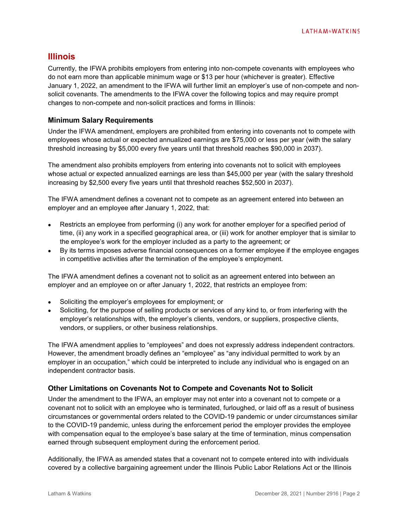# **Illinois**

Currently, the IFWA prohibits employers from entering into non-compete covenants with employees who do not earn more than applicable minimum wage or \$13 per hour (whichever is greater). Effective January 1, 2022, an amendment to the IFWA will further limit an employer's use of non-compete and nonsolicit covenants. The amendments to the IFWA cover the following topics and may require prompt changes to non-compete and non-solicit practices and forms in Illinois:

#### **Minimum Salary Requirements**

Under the IFWA amendment, employers are prohibited from entering into covenants not to compete with employees whose actual or expected annualized earnings are \$75,000 or less per year (with the salary threshold increasing by \$5,000 every five years until that threshold reaches \$90,000 in 2037).

The amendment also prohibits employers from entering into covenants not to solicit with employees whose actual or expected annualized earnings are less than \$45,000 per year (with the salary threshold increasing by \$2,500 every five years until that threshold reaches \$52,500 in 2037).

The IFWA amendment defines a covenant not to compete as an agreement entered into between an employer and an employee after January 1, 2022, that:

- Restricts an employee from performing (i) any work for another employer for a specified period of time, (ii) any work in a specified geographical area, or (iii) work for another employer that is similar to the employee's work for the employer included as a party to the agreement; or
- By its terms imposes adverse financial consequences on a former employee if the employee engages in competitive activities after the termination of the employee's employment.

The IFWA amendment defines a covenant not to solicit as an agreement entered into between an employer and an employee on or after January 1, 2022, that restricts an employee from:

- Soliciting the employer's employees for employment; or
- Soliciting, for the purpose of selling products or services of any kind to, or from interfering with the employer's relationships with, the employer's clients, vendors, or suppliers, prospective clients, vendors, or suppliers, or other business relationships.

The IFWA amendment applies to "employees" and does not expressly address independent contractors. However, the amendment broadly defines an "employee" as "any individual permitted to work by an employer in an occupation," which could be interpreted to include any individual who is engaged on an independent contractor basis.

#### **Other Limitations on Covenants Not to Compete and Covenants Not to Solicit**

Under the amendment to the IFWA, an employer may not enter into a covenant not to compete or a covenant not to solicit with an employee who is terminated, furloughed, or laid off as a result of business circumstances or governmental orders related to the COVID-19 pandemic or under circumstances similar to the COVID-19 pandemic, unless during the enforcement period the employer provides the employee with compensation equal to the employee's base salary at the time of termination, minus compensation earned through subsequent employment during the enforcement period.

Additionally, the IFWA as amended states that a covenant not to compete entered into with individuals covered by a collective bargaining agreement under the Illinois Public Labor Relations Act or the Illinois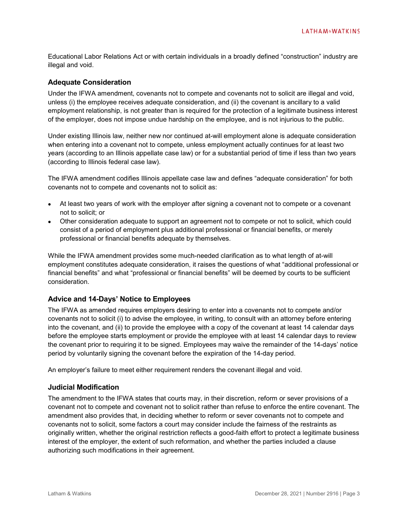Educational Labor Relations Act or with certain individuals in a broadly defined "construction" industry are illegal and void.

#### **Adequate Consideration**

Under the IFWA amendment, covenants not to compete and covenants not to solicit are illegal and void, unless (i) the employee receives adequate consideration, and (ii) the covenant is ancillary to a valid employment relationship, is not greater than is required for the protection of a legitimate business interest of the employer, does not impose undue hardship on the employee, and is not injurious to the public.

Under existing Illinois law, neither new nor continued at-will employment alone is adequate consideration when entering into a covenant not to compete, unless employment actually continues for at least two years (according to an Illinois appellate case law) or for a substantial period of time if less than two years (according to Illinois federal case law).

The IFWA amendment codifies Illinois appellate case law and defines "adequate consideration" for both covenants not to compete and covenants not to solicit as:

- At least two years of work with the employer after signing a covenant not to compete or a covenant not to solicit; or
- Other consideration adequate to support an agreement not to compete or not to solicit, which could consist of a period of employment plus additional professional or financial benefits, or merely professional or financial benefits adequate by themselves.

While the IFWA amendment provides some much-needed clarification as to what length of at-will employment constitutes adequate consideration, it raises the questions of what "additional professional or financial benefits" and what "professional or financial benefits" will be deemed by courts to be sufficient consideration.

#### **Advice and 14-Days' Notice to Employees**

The IFWA as amended requires employers desiring to enter into a covenants not to compete and/or covenants not to solicit (i) to advise the employee, in writing, to consult with an attorney before entering into the covenant, and (ii) to provide the employee with a copy of the covenant at least 14 calendar days before the employee starts employment or provide the employee with at least 14 calendar days to review the covenant prior to requiring it to be signed. Employees may waive the remainder of the 14-days' notice period by voluntarily signing the covenant before the expiration of the 14-day period.

An employer's failure to meet either requirement renders the covenant illegal and void.

#### **Judicial Modification**

The amendment to the IFWA states that courts may, in their discretion, reform or sever provisions of a covenant not to compete and covenant not to solicit rather than refuse to enforce the entire covenant. The amendment also provides that, in deciding whether to reform or sever covenants not to compete and covenants not to solicit, some factors a court may consider include the fairness of the restraints as originally written, whether the original restriction reflects a good-faith effort to protect a legitimate business interest of the employer, the extent of such reformation, and whether the parties included a clause authorizing such modifications in their agreement.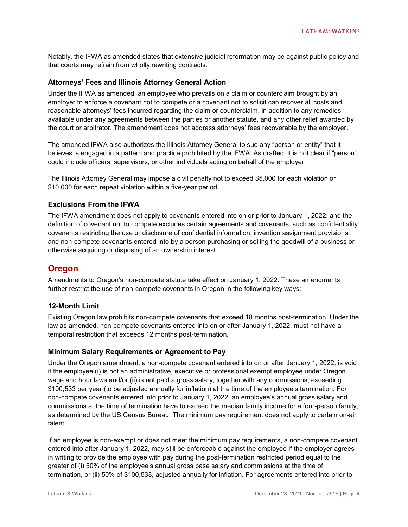Notably, the IFWA as amended states that extensive judicial reformation may be against public policy and that courts may refrain from wholly rewriting contracts.

#### **Attorneys' Fees and Illinois Attorney General Action**

Under the IFWA as amended, an employee who prevails on a claim or counterclaim brought by an employer to enforce a covenant not to compete or a covenant not to solicit can recover all costs and reasonable attorneys' fees incurred regarding the claim or counterclaim, in addition to any remedies available under any agreements between the parties or another statute, and any other relief awarded by the court or arbitrator. The amendment does not address attorneys' fees recoverable by the employer.

The amended IFWA also authorizes the Illinois Attorney General to sue any "person or entity" that it believes is engaged in a pattern and practice prohibited by the IFWA. As drafted, it is not clear if "person" could include officers, supervisors, or other individuals acting on behalf of the employer.

The Illinois Attorney General may impose a civil penalty not to exceed \$5,000 for each violation or \$10,000 for each repeat violation within a five-year period.

#### **Exclusions From the IFWA**

The IFWA amendment does not apply to covenants entered into on or prior to January 1, 2022, and the definition of covenant not to compete excludes certain agreements and covenants, such as confidentiality covenants restricting the use or disclosure of confidential information, invention assignment provisions, and non-compete covenants entered into by a person purchasing or selling the goodwill of a business or otherwise acquiring or disposing of an ownership interest.

# **Oregon**

Amendments to Oregon's non-compete statute take effect on January 1, 2022. These amendments further restrict the use of non-compete covenants in Oregon in the following key ways:

#### **12-Month Limit**

Existing Oregon law prohibits non-compete covenants that exceed 18 months post-termination. Under the law as amended, non-compete covenants entered into on or after January 1, 2022, must not have a temporal restriction that exceeds 12 months post-termination.

#### **Minimum Salary Requirements or Agreement to Pay**

Under the Oregon amendment, a non-compete covenant entered into on or after January 1, 2022, is void if the employee (i) is not an administrative, executive or professional exempt employee under Oregon wage and hour laws and/or (ii) is not paid a gross salary, together with any commissions, exceeding \$100,533 per year (to be adjusted annually for inflation) at the time of the employee's termination. For non-compete covenants entered into prior to January 1, 2022, an employee's annual gross salary and commissions at the time of termination have to exceed the median family income for a four-person family, as determined by the US Census Bureau. The minimum pay requirement does not apply to certain on-air talent.

If an employee is non-exempt or does not meet the minimum pay requirements, a non-compete covenant entered into after January 1, 2022, may still be enforceable against the employee if the employer agrees in writing to provide the employee with pay during the post-termination restricted period equal to the greater of (i) 50% of the employee's annual gross base salary and commissions at the time of termination, or (ii) 50% of \$100,533, adjusted annually for inflation. For agreements entered into prior to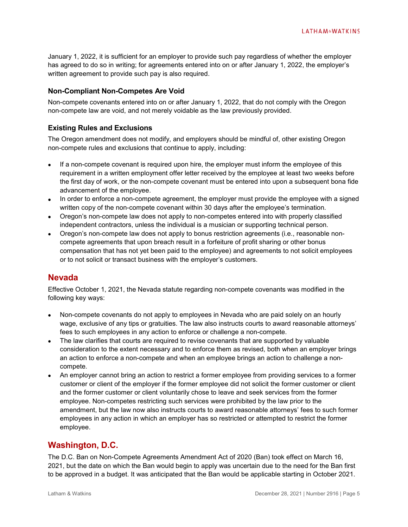January 1, 2022, it is sufficient for an employer to provide such pay regardless of whether the employer has agreed to do so in writing; for agreements entered into on or after January 1, 2022, the employer's written agreement to provide such pay is also required.

#### **Non-Compliant Non-Competes Are Void**

Non-compete covenants entered into on or after January 1, 2022, that do not comply with the Oregon non-compete law are void, and not merely voidable as the law previously provided.

#### **Existing Rules and Exclusions**

The Oregon amendment does not modify, and employers should be mindful of, other existing Oregon non-compete rules and exclusions that continue to apply, including:

- If a non-compete covenant is required upon hire, the employer must inform the employee of this requirement in a written employment offer letter received by the employee at least two weeks before the first day of work, or the non-compete covenant must be entered into upon a subsequent bona fide advancement of the employee.
- In order to enforce a non-compete agreement, the employer must provide the employee with a signed written copy of the non-compete covenant within 30 days after the employee's termination.
- Oregon's non-compete law does not apply to non-competes entered into with properly classified independent contractors, unless the individual is a musician or supporting technical person.
- Oregon's non-compete law does not apply to bonus restriction agreements (i.e., reasonable noncompete agreements that upon breach result in a forfeiture of profit sharing or other bonus compensation that has not yet been paid to the employee) and agreements to not solicit employees or to not solicit or transact business with the employer's customers.

## **Nevada**

Effective October 1, 2021, the Nevada statute regarding non-compete covenants was modified in the following key ways:

- Non-compete covenants do not apply to employees in Nevada who are paid solely on an hourly wage, exclusive of any tips or gratuities. The law also instructs courts to award reasonable attorneys' fees to such employees in any action to enforce or challenge a non-compete.
- The law clarifies that courts are required to revise covenants that are supported by valuable consideration to the extent necessary and to enforce them as revised, both when an employer brings an action to enforce a non-compete and when an employee brings an action to challenge a noncompete.
- An employer cannot bring an action to restrict a former employee from providing services to a former customer or client of the employer if the former employee did not solicit the former customer or client and the former customer or client voluntarily chose to leave and seek services from the former employee. Non-competes restricting such services were prohibited by the law prior to the amendment, but the law now also instructs courts to award reasonable attorneys' fees to such former employees in any action in which an employer has so restricted or attempted to restrict the former employee.

## **Washington, D.C.**

The D.C. Ban on Non-Compete Agreements Amendment Act of 2020 (Ban) took effect on March 16, 2021, but the date on which the Ban would begin to apply was uncertain due to the need for the Ban first to be approved in a budget. It was anticipated that the Ban would be applicable starting in October 2021.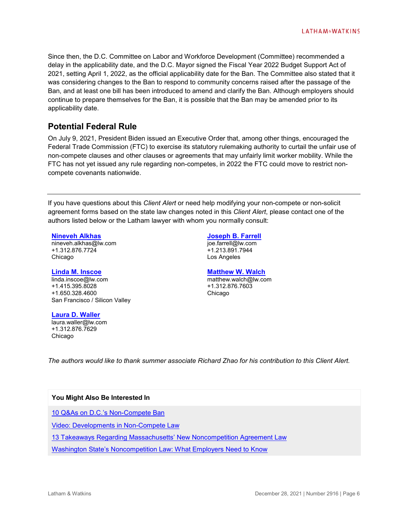Since then, the D.C. Committee on Labor and Workforce Development (Committee) recommended a delay in the applicability date, and the D.C. Mayor signed the Fiscal Year 2022 Budget Support Act of 2021, setting April 1, 2022, as the official applicability date for the Ban. The Committee also stated that it was considering changes to the Ban to respond to community concerns raised after the passage of the Ban, and at least one bill has been introduced to amend and clarify the Ban. Although employers should continue to prepare themselves for the Ban, it is possible that the Ban may be amended prior to its applicability date.

# **Potential Federal Rule**

On July 9, 2021, President Biden issued an Executive Order that, among other things, encouraged the Federal Trade Commission (FTC) to exercise its statutory rulemaking authority to curtail the unfair use of non-compete clauses and other clauses or agreements that may unfairly limit worker mobility. While the FTC has not yet issued any rule regarding non-competes, in 2022 the FTC could move to restrict noncompete covenants nationwide.

If you have questions about this *Client Alert* or need help modifying your non-compete or non-solicit agreement forms based on the state law changes noted in this *Client Alert*, please contact one of the authors listed below or the Latham lawyer with whom you normally consult:

#### **[Nineveh Alkhas](https://www.lw.com/people/nineveh-alkhas)**

nineveh.alkhas@lw.com +1.312.876.7724 Chicago

#### **[Linda M. Inscoe](https://www.lw.com/people/linda-inscoe)**

linda.inscoe@lw.com +1.415.395.8028 +1.650.328.4600 San Francisco / Silicon Valley

**[Joseph B. Farrell](https://www.lw.com/people/joseph-farrell)** joe.farrell@lw.com +1.213.891.7944

Los Angeles

#### **[Matthew W. Walch](https://www.lw.com/people/matthew-walch)**

matthew.walch@lw.com +1.312.876.7603 Chicago

**[Laura D. Waller](https://www.lw.com/people/laura-waller)** laura.waller@lw.com +1.312.876.7629 Chicago

*The authors would like to thank summer associate Richard Zhao for his contribution to this Client Alert.*

#### **You Might Also Be Interested In**

[10 Q&As on D.C.'s Non-Compete Ban](https://www.lw.com/thoughtLeadership/10-QAndAs-on-DCs-Non-Compete-Banhttps:/www.lw.com/thoughtLeadership/10-QAndAs-on-DCs-Non-Compete-Ban)

[Video: Developments in Non-Compete Law](https://www.lw.com/thoughtLeadership/developments-non-compete-law-viewpoints)

[13 Takeaways Regarding Massachusetts' New Noncompetition Agreement Law](https://www.lw.com/thoughtLeadership/thirteen-takeaways-massachusetts-noncompetition-agreement-law)

[Washington State's Noncompetition Law: What Employers Need to Know](https://www.lw.com/thoughtLeadership/washington-state-noncompetition-law-what-employers-need-to-know)